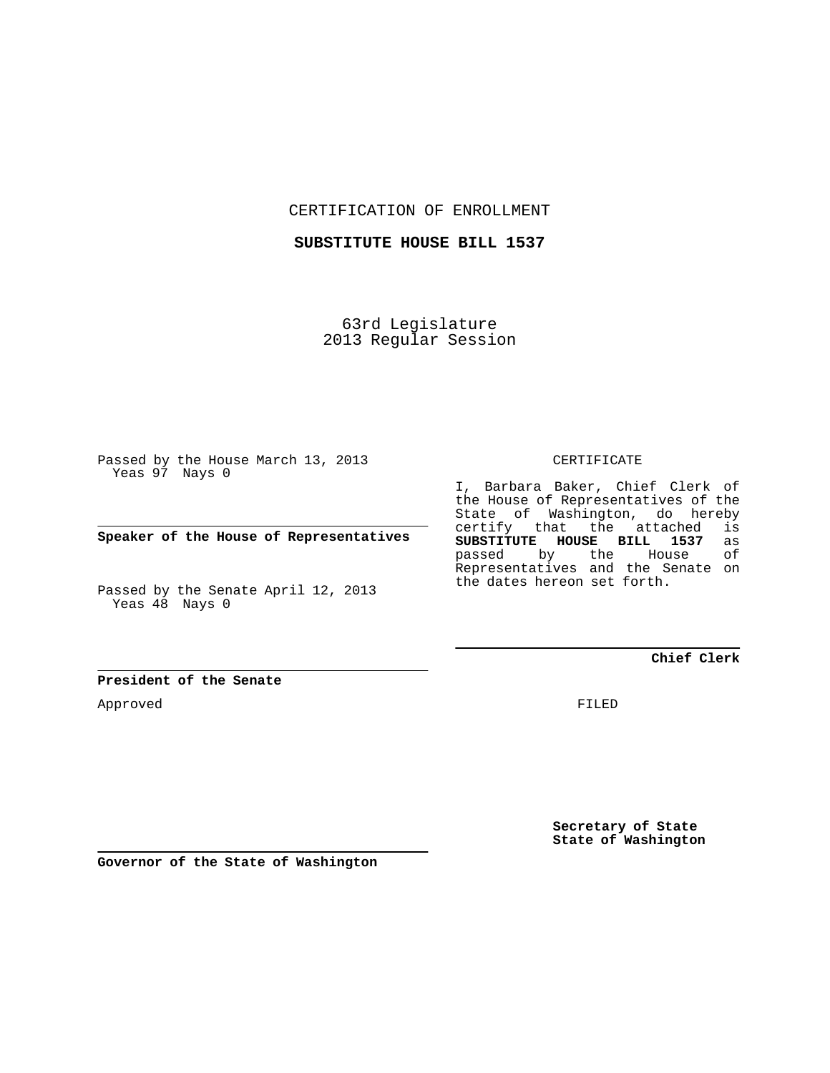CERTIFICATION OF ENROLLMENT

**SUBSTITUTE HOUSE BILL 1537**

63rd Legislature 2013 Regular Session

Passed by the House March 13, 2013 Yeas 97 Nays 0

**Speaker of the House of Representatives**

Passed by the Senate April 12, 2013 Yeas 48 Nays 0

**President of the Senate**

Approved

CERTIFICATE

I, Barbara Baker, Chief Clerk of the House of Representatives of the State of Washington, do hereby certify that the attached is<br>**SUBSTITUTE HOUSE BILL 1537** as **SUBSTITUTE HOUSE BILL 1537** as passed by the Representatives and the Senate on the dates hereon set forth.

**Chief Clerk**

FILED

**Secretary of State State of Washington**

**Governor of the State of Washington**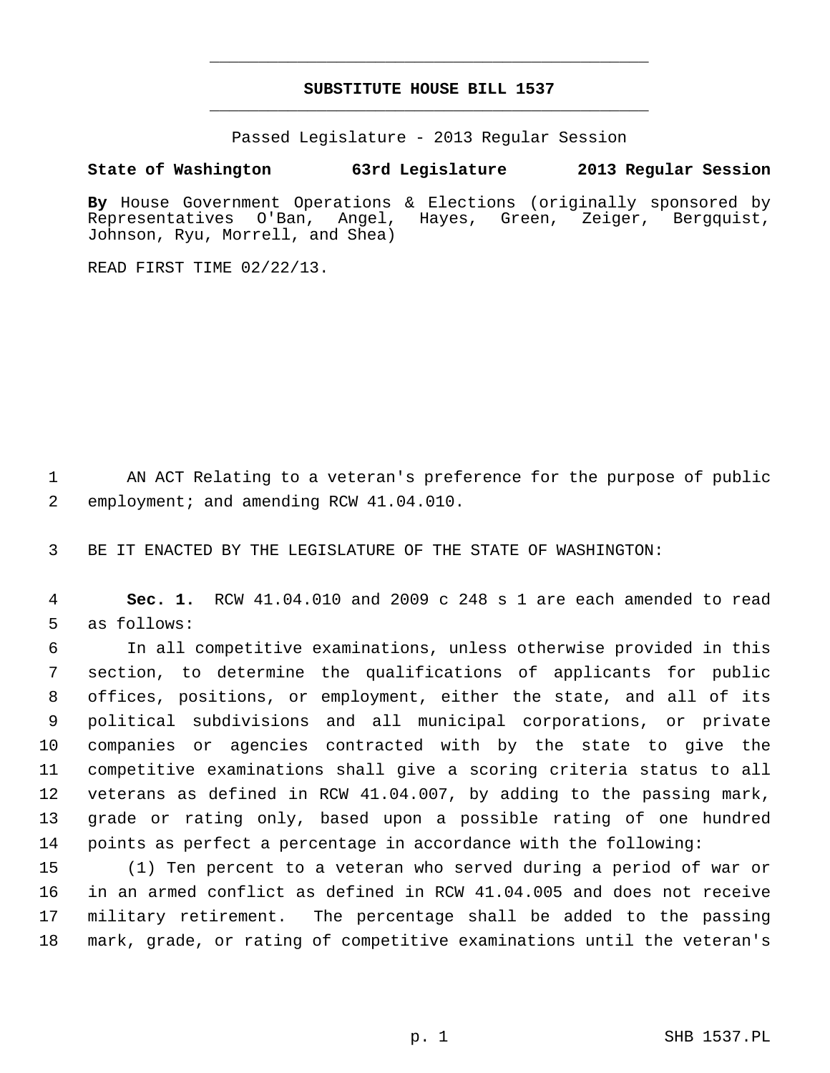## **SUBSTITUTE HOUSE BILL 1537** \_\_\_\_\_\_\_\_\_\_\_\_\_\_\_\_\_\_\_\_\_\_\_\_\_\_\_\_\_\_\_\_\_\_\_\_\_\_\_\_\_\_\_\_\_

\_\_\_\_\_\_\_\_\_\_\_\_\_\_\_\_\_\_\_\_\_\_\_\_\_\_\_\_\_\_\_\_\_\_\_\_\_\_\_\_\_\_\_\_\_

Passed Legislature - 2013 Regular Session

## **State of Washington 63rd Legislature 2013 Regular Session**

**By** House Government Operations & Elections (originally sponsored by Representatives O'Ban, Angel, Hayes, Green, Zeiger, Bergquist, Johnson, Ryu, Morrell, and Shea)

READ FIRST TIME 02/22/13.

 1 AN ACT Relating to a veteran's preference for the purpose of public 2 employment; and amending RCW 41.04.010.

3 BE IT ENACTED BY THE LEGISLATURE OF THE STATE OF WASHINGTON:

 4 **Sec. 1.** RCW 41.04.010 and 2009 c 248 s 1 are each amended to read 5 as follows:

 6 In all competitive examinations, unless otherwise provided in this 7 section, to determine the qualifications of applicants for public 8 offices, positions, or employment, either the state, and all of its 9 political subdivisions and all municipal corporations, or private 10 companies or agencies contracted with by the state to give the 11 competitive examinations shall give a scoring criteria status to all 12 veterans as defined in RCW 41.04.007, by adding to the passing mark, 13 grade or rating only, based upon a possible rating of one hundred 14 points as perfect a percentage in accordance with the following:

15 (1) Ten percent to a veteran who served during a period of war or 16 in an armed conflict as defined in RCW 41.04.005 and does not receive 17 military retirement. The percentage shall be added to the passing 18 mark, grade, or rating of competitive examinations until the veteran's